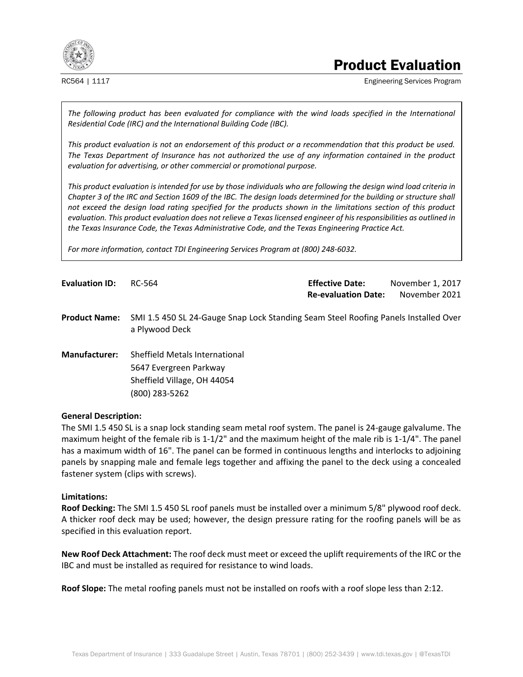

# Product Evaluation

RC564 | 1117 **Engineering Services Program** 

*The following product has been evaluated for compliance with the wind loads specified in the International Residential Code (IRC) and the International Building Code (IBC).* 

*This product evaluation is not an endorsement of this product or a recommendation that this product be used. The Texas Department of Insurance has not authorized the use of any information contained in the product evaluation for advertising, or other commercial or promotional purpose.* 

*This product evaluation is intended for use by those individuals who are following the design wind load criteria in Chapter 3 of the IRC and Section 1609 of the IBC. The design loads determined for the building or structure shall not exceed the design load rating specified for the products shown in the limitations section of this product evaluation. This product evaluation does not relieve a Texas licensed engineer of his responsibilities as outlined in the Texas Insurance Code, the Texas Administrative Code, and the Texas Engineering Practice Act.* 

*For more information, contact TDI Engineering Services Program at (800) 248-6032.* 

**Evaluation ID:** RC-564 **Effective Date:** November 1, 2017 **Re-evaluation Date:** November 2021

**Product Name:** SMI 1.5 450 SL 24-Gauge Snap Lock Standing Seam Steel Roofing Panels Installed Over a Plywood Deck

**Manufacturer:** Sheffield Metals International 5647 Evergreen Parkway Sheffield Village, OH 44054 (800) 283-5262

#### **General Description:**

The SMI 1.5 450 SL is a snap lock standing seam metal roof system. The panel is 24-gauge galvalume. The maximum height of the female rib is 1-1/2" and the maximum height of the male rib is 1-1/4". The panel has a maximum width of 16". The panel can be formed in continuous lengths and interlocks to adjoining panels by snapping male and female legs together and affixing the panel to the deck using a concealed fastener system (clips with screws).

# **Limitations:**

**Roof Decking:** The SMI 1.5 450 SL roof panels must be installed over a minimum 5/8" plywood roof deck. A thicker roof deck may be used; however, the design pressure rating for the roofing panels will be as specified in this evaluation report.

**New Roof Deck Attachment:** The roof deck must meet or exceed the uplift requirements of the IRC or the IBC and must be installed as required for resistance to wind loads.

**Roof Slope:** The metal roofing panels must not be installed on roofs with a roof slope less than 2:12.